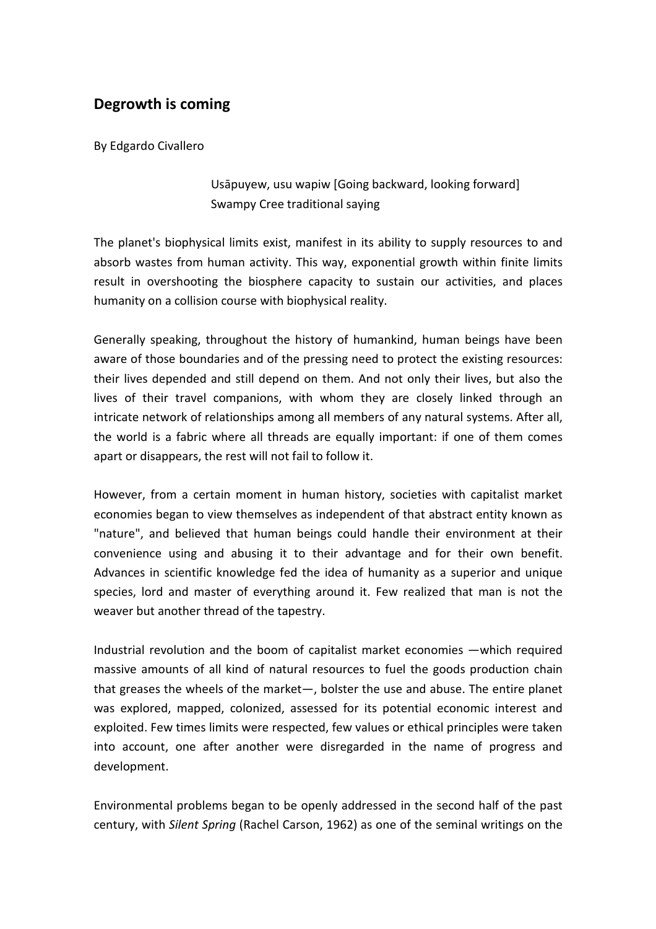## **Degrowth is coming**

By Edgardo Civallero

Usāpuyew, usu wapiw [Going backward, looking forward] Swampy Cree traditional saying

The planet's biophysical limits exist, manifest in its ability to supply resources to and absorb wastes from human activity. This way, exponential growth within finite limits result in overshooting the biosphere capacity to sustain our activities, and places humanity on a collision course with biophysical reality.

Generally speaking, throughout the history of humankind, human beings have been aware of those boundaries and of the pressing need to protect the existing resources: their lives depended and still depend on them. And not only their lives, but also the lives of their travel companions, with whom they are closely linked through an intricate network of relationships among all members of any natural systems. After all, the world is a fabric where all threads are equally important: if one of them comes apart or disappears, the rest will not fail to follow it.

However, from a certain moment in human history, societies with capitalist market economies began to view themselves as independent of that abstract entity known as "nature", and believed that human beings could handle their environment at their convenience using and abusing it to their advantage and for their own benefit. Advances in scientific knowledge fed the idea of humanity as a superior and unique species, lord and master of everything around it. Few realized that man is not the weaver but another thread of the tapestry.

Industrial revolution and the boom of capitalist market economies ―which required massive amounts of all kind of natural resources to fuel the goods production chain that greases the wheels of the market―, bolster the use and abuse. The entire planet was explored, mapped, colonized, assessed for its potential economic interest and exploited. Few times limits were respected, few values or ethical principles were taken into account, one after another were disregarded in the name of progress and development.

Environmental problems began to be openly addressed in the second half of the past century, with *Silent Spring* (Rachel Carson, 1962) as one of the seminal writings on the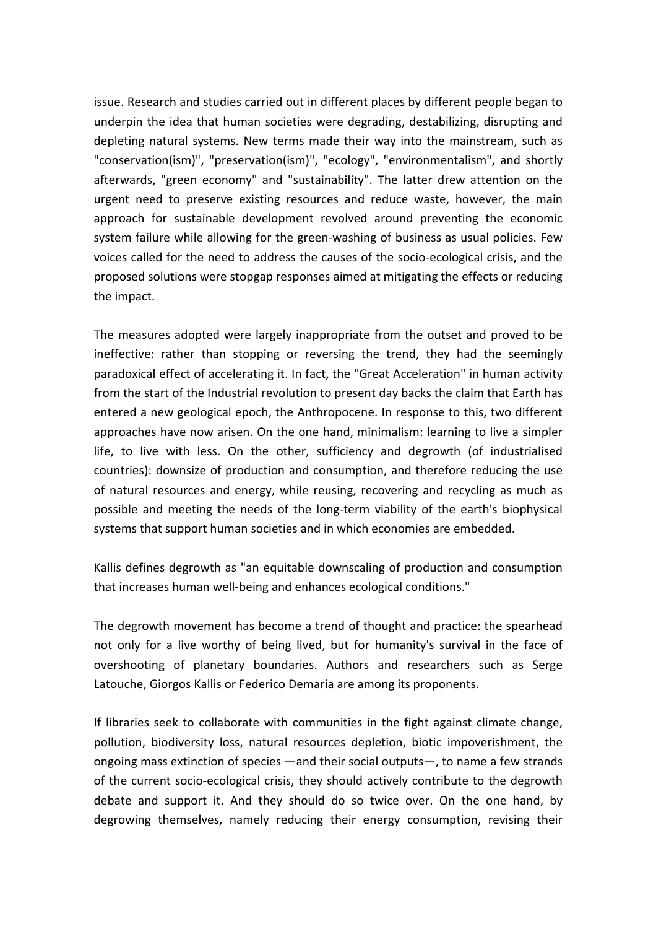issue. Research and studies carried out in different places by different people began to underpin the idea that human societies were degrading, destabilizing, disrupting and depleting natural systems. New terms made their way into the mainstream, such as "conservation(ism)", "preservation(ism)", "ecology", "environmentalism", and shortly afterwards, "green economy" and "sustainability". The latter drew attention on the urgent need to preserve existing resources and reduce waste, however, the main approach for sustainable development revolved around preventing the economic system failure while allowing for the green-washing of business as usual policies. Few voices called for the need to address the causes of the socio-ecological crisis, and the proposed solutions were stopgap responses aimed at mitigating the effects or reducing the impact.

The measures adopted were largely inappropriate from the outset and proved to be ineffective: rather than stopping or reversing the trend, they had the seemingly paradoxical effect of accelerating it. In fact, the "Great Acceleration" in human activity from the start of the Industrial revolution to present day backs the claim that Earth has entered a new geological epoch, the Anthropocene. In response to this, two different approaches have now arisen. On the one hand, minimalism: learning to live a simpler life, to live with less. On the other, sufficiency and degrowth (of industrialised countries): downsize of production and consumption, and therefore reducing the use of natural resources and energy, while reusing, recovering and recycling as much as possible and meeting the needs of the long-term viability of the earth's biophysical systems that support human societies and in which economies are embedded.

Kallis defines degrowth as "an equitable downscaling of production and consumption that increases human well-being and enhances ecological conditions."

The degrowth movement has become a trend of thought and practice: the spearhead not only for a live worthy of being lived, but for humanity's survival in the face of overshooting of planetary boundaries. Authors and researchers such as Serge Latouche, Giorgos Kallis or Federico Demaria are among its proponents.

If libraries seek to collaborate with communities in the fight against climate change, pollution, biodiversity loss, natural resources depletion, biotic impoverishment, the ongoing mass extinction of species ―and their social outputs―, to name a few strands of the current socio-ecological crisis, they should actively contribute to the degrowth debate and support it. And they should do so twice over. On the one hand, by degrowing themselves, namely reducing their energy consumption, revising their